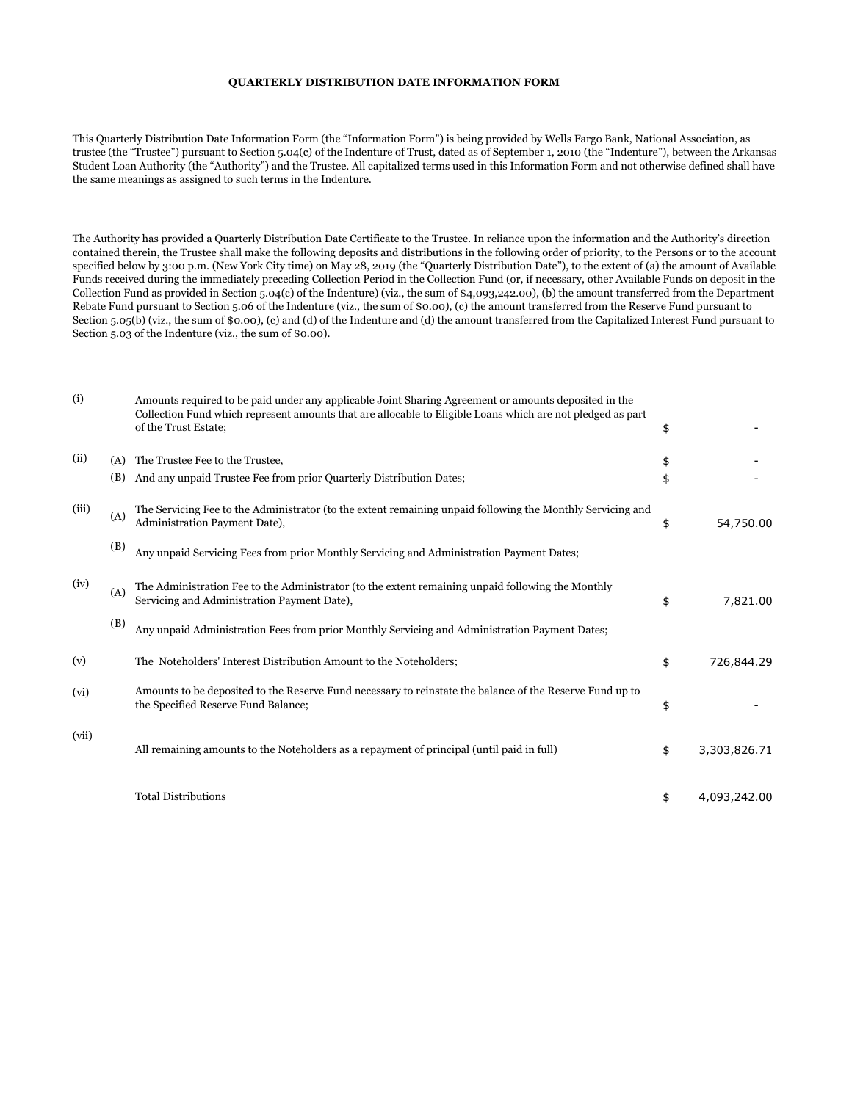## **QUARTERLY DISTRIBUTION DATE INFORMATION FORM**

This Quarterly Distribution Date Information Form (the "Information Form") is being provided by Wells Fargo Bank, National Association, as trustee (the "Trustee") pursuant to Section 5.04(c) of the Indenture of Trust, dated as of September 1, 2010 (the "Indenture"), between the Arkansas Student Loan Authority (the "Authority") and the Trustee. All capitalized terms used in this Information Form and not otherwise defined shall have the same meanings as assigned to such terms in the Indenture.

The Authority has provided a Quarterly Distribution Date Certificate to the Trustee. In reliance upon the information and the Authority's direction contained therein, the Trustee shall make the following deposits and distributions in the following order of priority, to the Persons or to the account specified below by 3:00 p.m. (New York City time) on May 28, 2019 (the "Quarterly Distribution Date"), to the extent of (a) the amount of Available Funds received during the immediately preceding Collection Period in the Collection Fund (or, if necessary, other Available Funds on deposit in the Collection Fund as provided in Section 5.04(c) of the Indenture) (viz., the sum of \$4,093,242.00), (b) the amount transferred from the Department Rebate Fund pursuant to Section 5.06 of the Indenture (viz., the sum of \$0.00), (c) the amount transferred from the Reserve Fund pursuant to Section 5.05(b) (viz., the sum of \$0.00), (c) and (d) of the Indenture and (d) the amount transferred from the Capitalized Interest Fund pursuant to Section 5.03 of the Indenture (viz., the sum of \$0.00).

| (i)   |            | Amounts required to be paid under any applicable Joint Sharing Agreement or amounts deposited in the<br>Collection Fund which represent amounts that are allocable to Eligible Loans which are not pledged as part<br>of the Trust Estate; | \$       |              |
|-------|------------|--------------------------------------------------------------------------------------------------------------------------------------------------------------------------------------------------------------------------------------------|----------|--------------|
| (ii)  | (A)<br>(B) | The Trustee Fee to the Trustee,<br>And any unpaid Trustee Fee from prior Quarterly Distribution Dates;                                                                                                                                     | \$<br>\$ |              |
| (iii) | (A)        | The Servicing Fee to the Administrator (to the extent remaining unpaid following the Monthly Servicing and<br>Administration Payment Date),                                                                                                | \$       | 54,750.00    |
|       | (B)        | Any unpaid Servicing Fees from prior Monthly Servicing and Administration Payment Dates;                                                                                                                                                   |          |              |
| (iv)  | (A)        | The Administration Fee to the Administrator (to the extent remaining unpaid following the Monthly<br>Servicing and Administration Payment Date),                                                                                           | \$       | 7,821.00     |
|       | (B)        | Any unpaid Administration Fees from prior Monthly Servicing and Administration Payment Dates;                                                                                                                                              |          |              |
| (v)   |            | The Noteholders' Interest Distribution Amount to the Noteholders;                                                                                                                                                                          | \$       | 726,844.29   |
| (vi)  |            | Amounts to be deposited to the Reserve Fund necessary to reinstate the balance of the Reserve Fund up to<br>the Specified Reserve Fund Balance;                                                                                            | \$       |              |
| (vii) |            | All remaining amounts to the Noteholders as a repayment of principal (until paid in full)                                                                                                                                                  | \$       | 3,303,826.71 |
|       |            | <b>Total Distributions</b>                                                                                                                                                                                                                 | \$       | 4,093,242.00 |